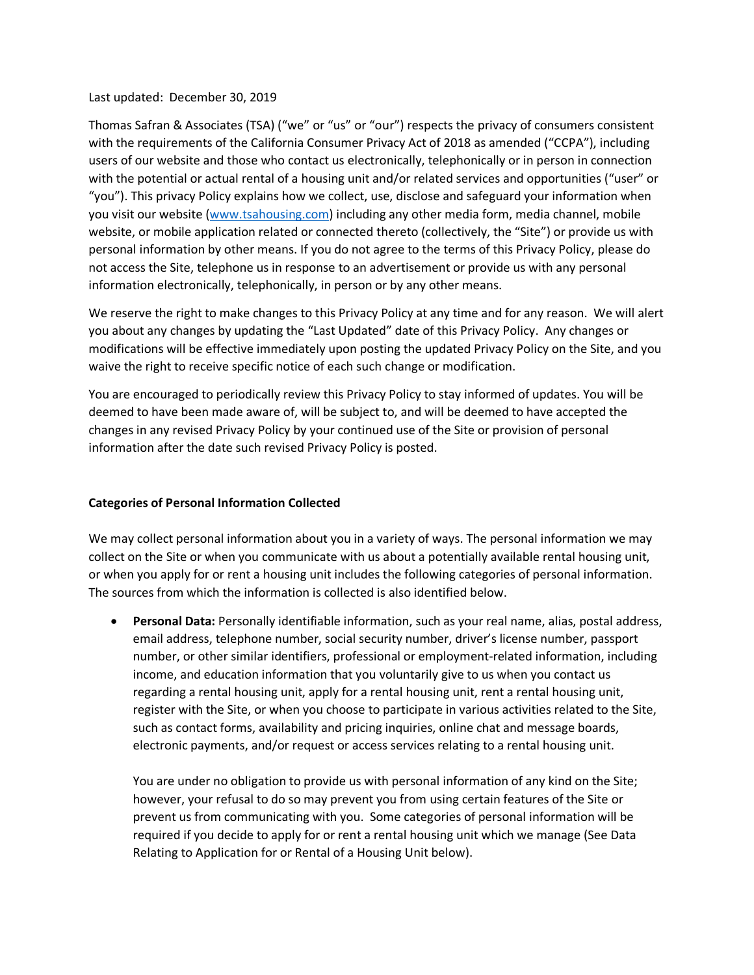#### Last updated: December 30, 2019

Thomas Safran & Associates (TSA) ("we" or "us" or "our") respects the privacy of consumers consistent with the requirements of the California Consumer Privacy Act of 2018 as amended ("CCPA"), including users of our website and those who contact us electronically, telephonically or in person in connection with the potential or actual rental of a housing unit and/or related services and opportunities ("user" or "you"). This privacy Policy explains how we collect, use, disclose and safeguard your information when you visit our website [\(www.tsahousing.com\)](http://www.tsahousing.com/) including any other media form, media channel, mobile website, or mobile application related or connected thereto (collectively, the "Site") or provide us with personal information by other means. If you do not agree to the terms of this Privacy Policy, please do not access the Site, telephone us in response to an advertisement or provide us with any personal information electronically, telephonically, in person or by any other means.

We reserve the right to make changes to this Privacy Policy at any time and for any reason. We will alert you about any changes by updating the "Last Updated" date of this Privacy Policy. Any changes or modifications will be effective immediately upon posting the updated Privacy Policy on the Site, and you waive the right to receive specific notice of each such change or modification.

You are encouraged to periodically review this Privacy Policy to stay informed of updates. You will be deemed to have been made aware of, will be subject to, and will be deemed to have accepted the changes in any revised Privacy Policy by your continued use of the Site or provision of personal information after the date such revised Privacy Policy is posted.

#### **Categories of Personal Information Collected**

We may collect personal information about you in a variety of ways. The personal information we may collect on the Site or when you communicate with us about a potentially available rental housing unit, or when you apply for or rent a housing unit includes the following categories of personal information. The sources from which the information is collected is also identified below.

• **Personal Data:** Personally identifiable information, such as your real name, alias, postal address, email address, telephone number, social security number, driver's license number, passport number, or other similar identifiers, professional or employment-related information, including income, and education information that you voluntarily give to us when you contact us regarding a rental housing unit, apply for a rental housing unit, rent a rental housing unit, register with the Site, or when you choose to participate in various activities related to the Site, such as contact forms, availability and pricing inquiries, online chat and message boards, electronic payments, and/or request or access services relating to a rental housing unit.

You are under no obligation to provide us with personal information of any kind on the Site; however, your refusal to do so may prevent you from using certain features of the Site or prevent us from communicating with you. Some categories of personal information will be required if you decide to apply for or rent a rental housing unit which we manage (See Data Relating to Application for or Rental of a Housing Unit below).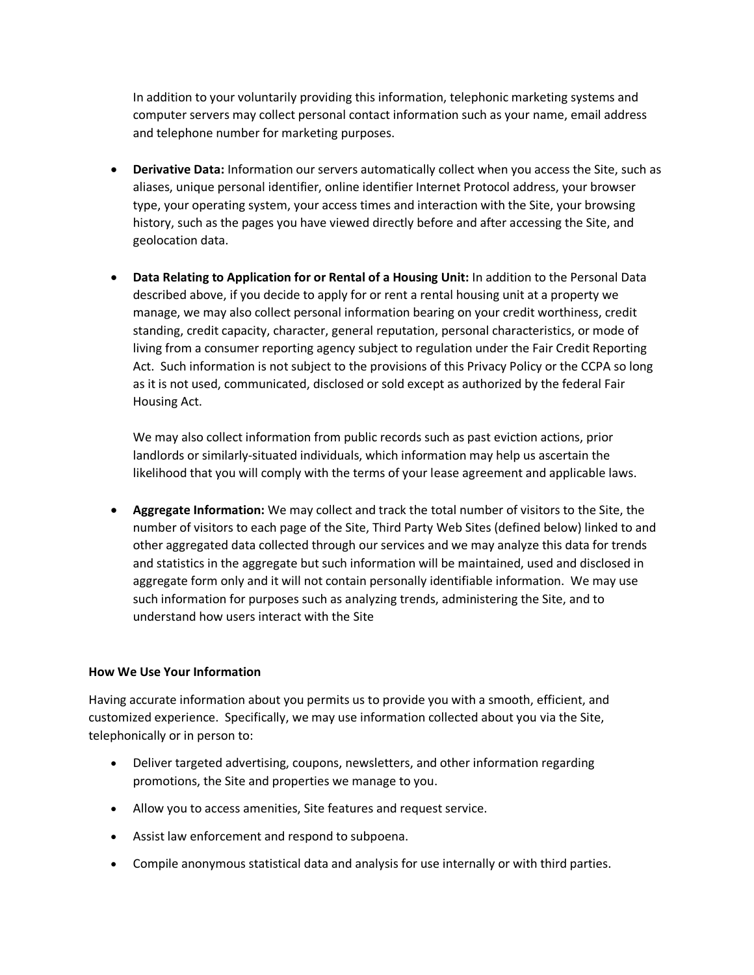In addition to your voluntarily providing this information, telephonic marketing systems and computer servers may collect personal contact information such as your name, email address and telephone number for marketing purposes.

- **Derivative Data:** Information our servers automatically collect when you access the Site, such as aliases, unique personal identifier, online identifier Internet Protocol address, your browser type, your operating system, your access times and interaction with the Site, your browsing history, such as the pages you have viewed directly before and after accessing the Site, and geolocation data.
- **Data Relating to Application for or Rental of a Housing Unit:** In addition to the Personal Data described above, if you decide to apply for or rent a rental housing unit at a property we manage, we may also collect personal information bearing on your credit worthiness, credit standing, credit capacity, character, general reputation, personal characteristics, or mode of living from a consumer reporting agency subject to regulation under the Fair Credit Reporting Act. Such information is not subject to the provisions of this Privacy Policy or the CCPA so long as it is not used, communicated, disclosed or sold except as authorized by the federal Fair Housing Act.

We may also collect information from public records such as past eviction actions, prior landlords or similarly-situated individuals, which information may help us ascertain the likelihood that you will comply with the terms of your lease agreement and applicable laws.

• **Aggregate Information:** We may collect and track the total number of visitors to the Site, the number of visitors to each page of the Site, Third Party Web Sites (defined below) linked to and other aggregated data collected through our services and we may analyze this data for trends and statistics in the aggregate but such information will be maintained, used and disclosed in aggregate form only and it will not contain personally identifiable information. We may use such information for purposes such as analyzing trends, administering the Site, and to understand how users interact with the Site

## **How We Use Your Information**

Having accurate information about you permits us to provide you with a smooth, efficient, and customized experience. Specifically, we may use information collected about you via the Site, telephonically or in person to:

- Deliver targeted advertising, coupons, newsletters, and other information regarding promotions, the Site and properties we manage to you.
- Allow you to access amenities, Site features and request service.
- Assist law enforcement and respond to subpoena.
- Compile anonymous statistical data and analysis for use internally or with third parties.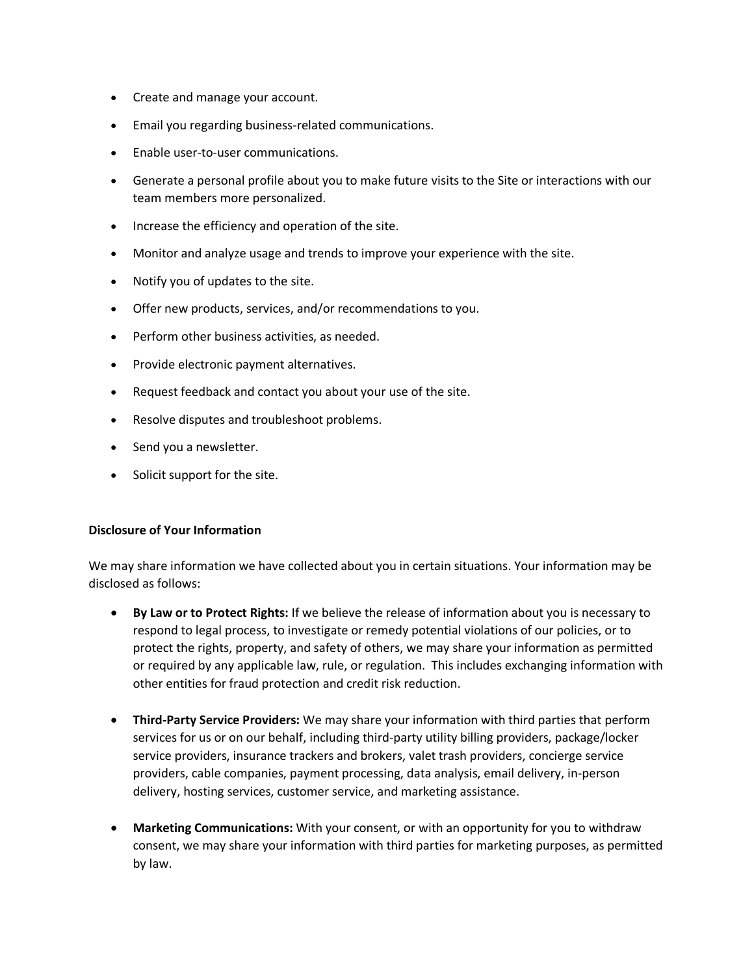- Create and manage your account.
- Email you regarding business-related communications.
- Enable user-to-user communications.
- Generate a personal profile about you to make future visits to the Site or interactions with our team members more personalized.
- Increase the efficiency and operation of the site.
- Monitor and analyze usage and trends to improve your experience with the site.
- Notify you of updates to the site.
- Offer new products, services, and/or recommendations to you.
- Perform other business activities, as needed.
- Provide electronic payment alternatives.
- Request feedback and contact you about your use of the site.
- Resolve disputes and troubleshoot problems.
- Send you a newsletter.
- Solicit support for the site.

#### **Disclosure of Your Information**

We may share information we have collected about you in certain situations. Your information may be disclosed as follows:

- **By Law or to Protect Rights:** If we believe the release of information about you is necessary to respond to legal process, to investigate or remedy potential violations of our policies, or to protect the rights, property, and safety of others, we may share your information as permitted or required by any applicable law, rule, or regulation. This includes exchanging information with other entities for fraud protection and credit risk reduction.
- **Third-Party Service Providers:** We may share your information with third parties that perform services for us or on our behalf, including third-party utility billing providers, package/locker service providers, insurance trackers and brokers, valet trash providers, concierge service providers, cable companies, payment processing, data analysis, email delivery, in-person delivery, hosting services, customer service, and marketing assistance.
- **Marketing Communications:** With your consent, or with an opportunity for you to withdraw consent, we may share your information with third parties for marketing purposes, as permitted by law.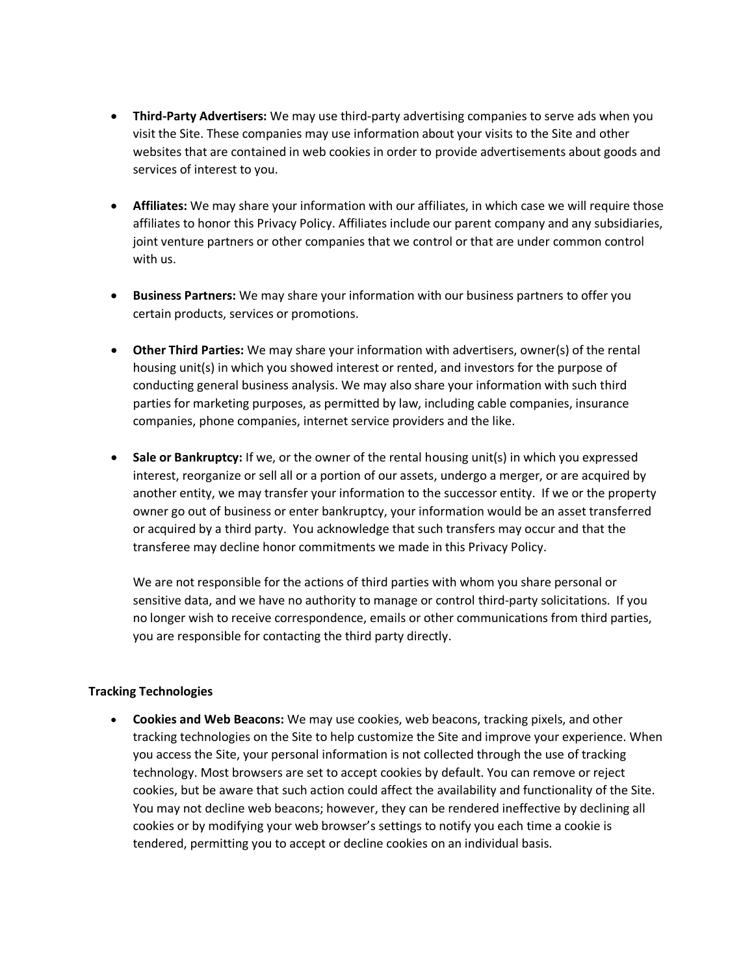- **Third-Party Advertisers:** We may use third-party advertising companies to serve ads when you visit the Site. These companies may use information about your visits to the Site and other websites that are contained in web cookies in order to provide advertisements about goods and services of interest to you.
- **Affiliates:** We may share your information with our affiliates, in which case we will require those affiliates to honor this Privacy Policy. Affiliates include our parent company and any subsidiaries, joint venture partners or other companies that we control or that are under common control with us.
- **Business Partners:** We may share your information with our business partners to offer you certain products, services or promotions.
- **Other Third Parties:** We may share your information with advertisers, owner(s) of the rental housing unit(s) in which you showed interest or rented, and investors for the purpose of conducting general business analysis. We may also share your information with such third parties for marketing purposes, as permitted by law, including cable companies, insurance companies, phone companies, internet service providers and the like.
- **Sale or Bankruptcy:** If we, or the owner of the rental housing unit(s) in which you expressed interest, reorganize or sell all or a portion of our assets, undergo a merger, or are acquired by another entity, we may transfer your information to the successor entity. If we or the property owner go out of business or enter bankruptcy, your information would be an asset transferred or acquired by a third party. You acknowledge that such transfers may occur and that the transferee may decline honor commitments we made in this Privacy Policy.

We are not responsible for the actions of third parties with whom you share personal or sensitive data, and we have no authority to manage or control third-party solicitations. If you no longer wish to receive correspondence, emails or other communications from third parties, you are responsible for contacting the third party directly.

## **Tracking Technologies**

• **Cookies and Web Beacons:** We may use cookies, web beacons, tracking pixels, and other tracking technologies on the Site to help customize the Site and improve your experience. When you access the Site, your personal information is not collected through the use of tracking technology. Most browsers are set to accept cookies by default. You can remove or reject cookies, but be aware that such action could affect the availability and functionality of the Site. You may not decline web beacons; however, they can be rendered ineffective by declining all cookies or by modifying your web browser's settings to notify you each time a cookie is tendered, permitting you to accept or decline cookies on an individual basis.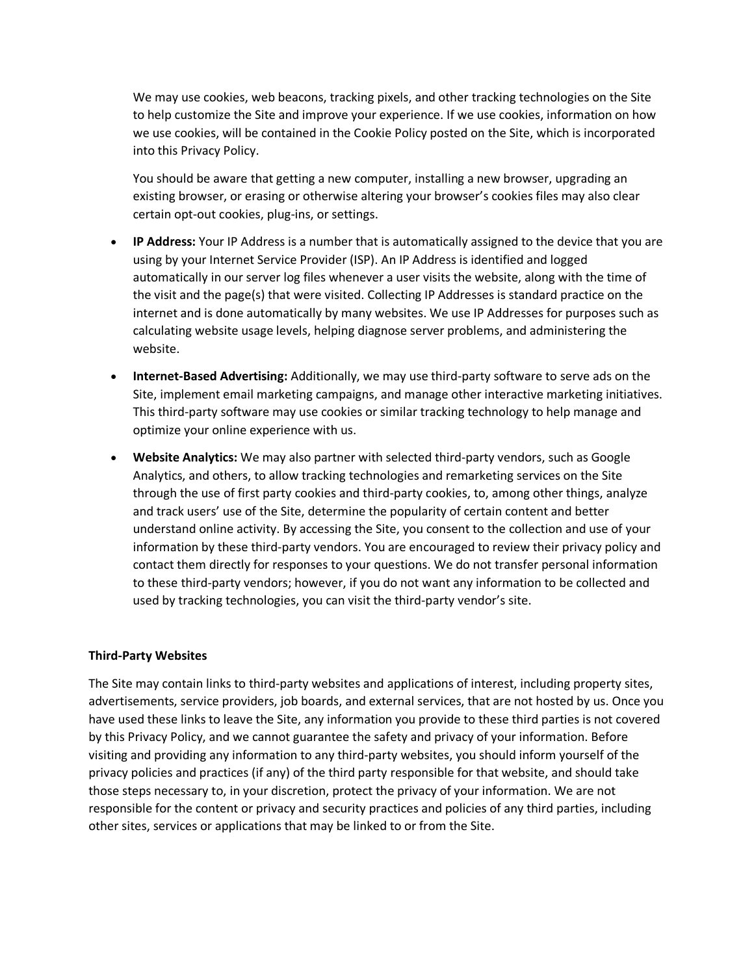We may use cookies, web beacons, tracking pixels, and other tracking technologies on the Site to help customize the Site and improve your experience. If we use cookies, information on how we use cookies, will be contained in the Cookie Policy posted on the Site, which is incorporated into this Privacy Policy.

You should be aware that getting a new computer, installing a new browser, upgrading an existing browser, or erasing or otherwise altering your browser's cookies files may also clear certain opt-out cookies, plug-ins, or settings.

- **IP Address:** Your IP Address is a number that is automatically assigned to the device that you are using by your Internet Service Provider (ISP). An IP Address is identified and logged automatically in our server log files whenever a user visits the website, along with the time of the visit and the page(s) that were visited. Collecting IP Addresses is standard practice on the internet and is done automatically by many websites. We use IP Addresses for purposes such as calculating website usage levels, helping diagnose server problems, and administering the website.
- **Internet-Based Advertising:** Additionally, we may use third-party software to serve ads on the Site, implement email marketing campaigns, and manage other interactive marketing initiatives. This third-party software may use cookies or similar tracking technology to help manage and optimize your online experience with us.
- **Website Analytics:** We may also partner with selected third-party vendors, such as Google Analytics, and others, to allow tracking technologies and remarketing services on the Site through the use of first party cookies and third-party cookies, to, among other things, analyze and track users' use of the Site, determine the popularity of certain content and better understand online activity. By accessing the Site, you consent to the collection and use of your information by these third-party vendors. You are encouraged to review their privacy policy and contact them directly for responses to your questions. We do not transfer personal information to these third-party vendors; however, if you do not want any information to be collected and used by tracking technologies, you can visit the third-party vendor's site.

#### **Third-Party Websites**

The Site may contain links to third-party websites and applications of interest, including property sites, advertisements, service providers, job boards, and external services, that are not hosted by us. Once you have used these links to leave the Site, any information you provide to these third parties is not covered by this Privacy Policy, and we cannot guarantee the safety and privacy of your information. Before visiting and providing any information to any third-party websites, you should inform yourself of the privacy policies and practices (if any) of the third party responsible for that website, and should take those steps necessary to, in your discretion, protect the privacy of your information. We are not responsible for the content or privacy and security practices and policies of any third parties, including other sites, services or applications that may be linked to or from the Site.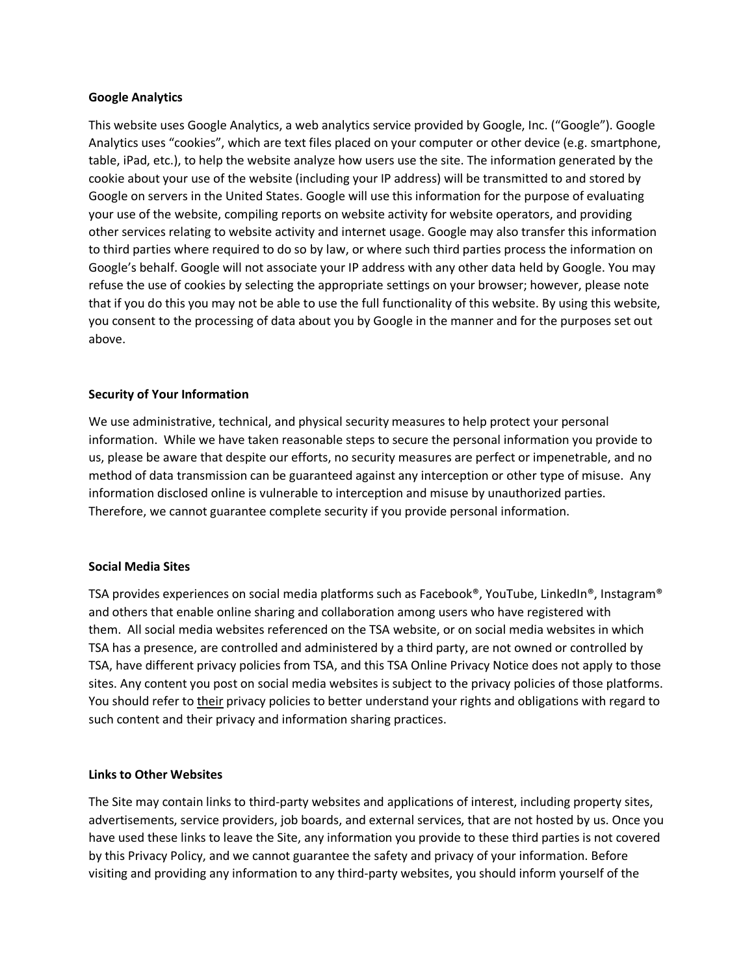### **Google Analytics**

This website uses Google Analytics, a web analytics service provided by Google, Inc. ("Google"). Google Analytics uses "cookies", which are text files placed on your computer or other device (e.g. smartphone, table, iPad, etc.), to help the website analyze how users use the site. The information generated by the cookie about your use of the website (including your IP address) will be transmitted to and stored by Google on servers in the United States. Google will use this information for the purpose of evaluating your use of the website, compiling reports on website activity for website operators, and providing other services relating to website activity and internet usage. Google may also transfer this information to third parties where required to do so by law, or where such third parties process the information on Google's behalf. Google will not associate your IP address with any other data held by Google. You may refuse the use of cookies by selecting the appropriate settings on your browser; however, please note that if you do this you may not be able to use the full functionality of this website. By using this website, you consent to the processing of data about you by Google in the manner and for the purposes set out above.

### **Security of Your Information**

We use administrative, technical, and physical security measures to help protect your personal information. While we have taken reasonable steps to secure the personal information you provide to us, please be aware that despite our efforts, no security measures are perfect or impenetrable, and no method of data transmission can be guaranteed against any interception or other type of misuse. Any information disclosed online is vulnerable to interception and misuse by unauthorized parties. Therefore, we cannot guarantee complete security if you provide personal information.

#### **Social Media Sites**

TSA provides experiences on social media platforms such as Facebook®, YouTube, LinkedIn®, Instagram® and others that enable online sharing and collaboration among users who have registered with them. All social media websites referenced on the TSA website, or on social media websites in which TSA has a presence, are controlled and administered by a third party, are not owned or controlled by TSA, have different privacy policies from TSA, and this TSA Online Privacy Notice does not apply to those sites. Any content you post on social media websites is subject to the privacy policies of those platforms. You should refer to their privacy policies to better understand your rights and obligations with regard to such content and their privacy and information sharing practices.

## **Links to Other Websites**

The Site may contain links to third-party websites and applications of interest, including property sites, advertisements, service providers, job boards, and external services, that are not hosted by us. Once you have used these links to leave the Site, any information you provide to these third parties is not covered by this Privacy Policy, and we cannot guarantee the safety and privacy of your information. Before visiting and providing any information to any third-party websites, you should inform yourself of the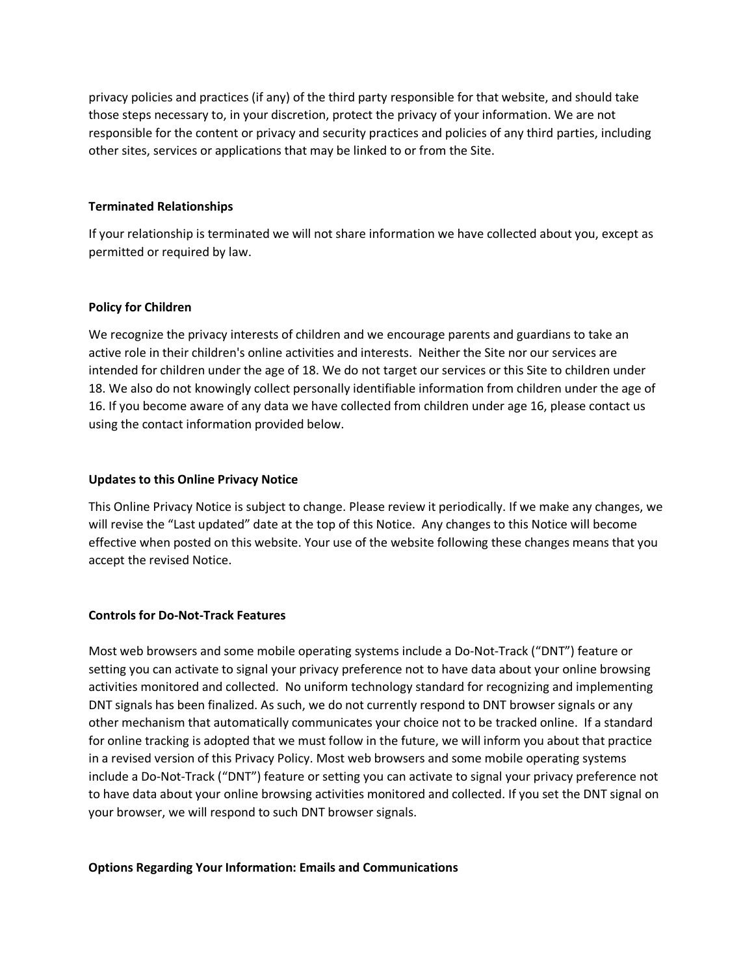privacy policies and practices (if any) of the third party responsible for that website, and should take those steps necessary to, in your discretion, protect the privacy of your information. We are not responsible for the content or privacy and security practices and policies of any third parties, including other sites, services or applications that may be linked to or from the Site.

### **Terminated Relationships**

If your relationship is terminated we will not share information we have collected about you, except as permitted or required by law.

### **Policy for Children**

We recognize the privacy interests of children and we encourage parents and guardians to take an active role in their children's online activities and interests. Neither the Site nor our services are intended for children under the age of 18. We do not target our services or this Site to children under 18. We also do not knowingly collect personally identifiable information from children under the age of 16. If you become aware of any data we have collected from children under age 16, please contact us using the contact information provided below.

### **Updates to this Online Privacy Notice**

This Online Privacy Notice is subject to change. Please review it periodically. If we make any changes, we will revise the "Last updated" date at the top of this Notice. Any changes to this Notice will become effective when posted on this website. Your use of the website following these changes means that you accept the revised Notice.

## **Controls for Do-Not-Track Features**

Most web browsers and some mobile operating systems include a Do-Not-Track ("DNT") feature or setting you can activate to signal your privacy preference not to have data about your online browsing activities monitored and collected. No uniform technology standard for recognizing and implementing DNT signals has been finalized. As such, we do not currently respond to DNT browser signals or any other mechanism that automatically communicates your choice not to be tracked online. If a standard for online tracking is adopted that we must follow in the future, we will inform you about that practice in a revised version of this Privacy Policy. Most web browsers and some mobile operating systems include a Do-Not-Track ("DNT") feature or setting you can activate to signal your privacy preference not to have data about your online browsing activities monitored and collected. If you set the DNT signal on your browser, we will respond to such DNT browser signals.

## **Options Regarding Your Information: Emails and Communications**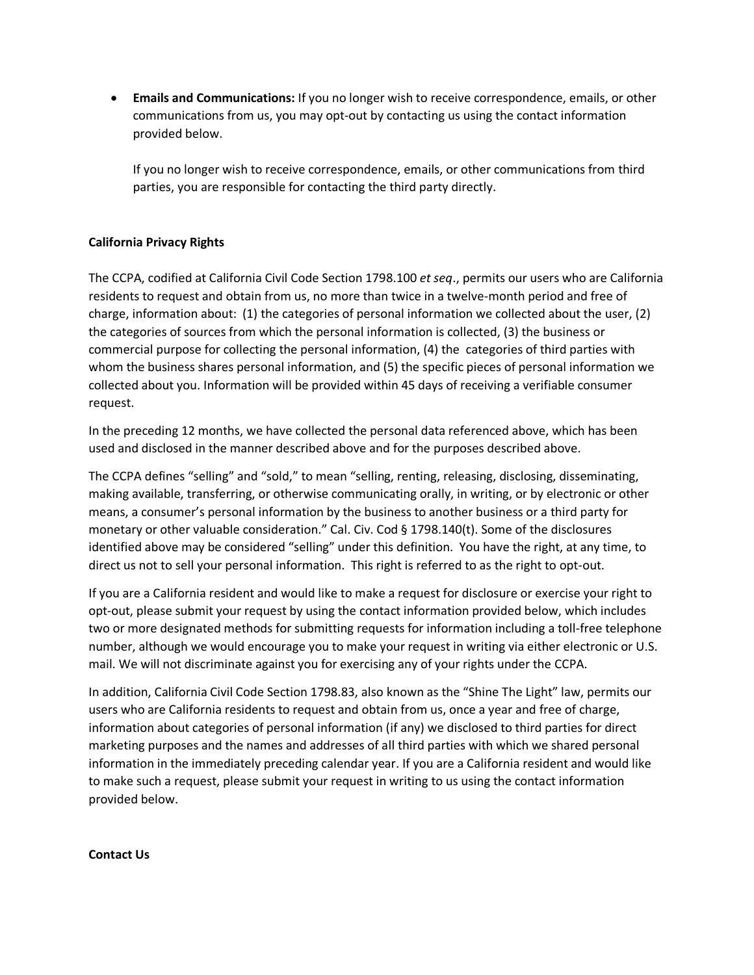• **Emails and Communications:** If you no longer wish to receive correspondence, emails, or other communications from us, you may opt-out by contacting us using the contact information provided below.

If you no longer wish to receive correspondence, emails, or other communications from third parties, you are responsible for contacting the third party directly.

# **California Privacy Rights**

The CCPA, codified at California Civil Code Section 1798.100 *et seq*., permits our users who are California residents to request and obtain from us, no more than twice in a twelve-month period and free of charge, information about: (1) the categories of personal information we collected about the user, (2) the categories of sources from which the personal information is collected, (3) the business or commercial purpose for collecting the personal information, (4) the categories of third parties with whom the business shares personal information, and (5) the specific pieces of personal information we collected about you. Information will be provided within 45 days of receiving a verifiable consumer request.

In the preceding 12 months, we have collected the personal data referenced above, which has been used and disclosed in the manner described above and for the purposes described above.

The CCPA defines "selling" and "sold," to mean "selling, renting, releasing, disclosing, disseminating, making available, transferring, or otherwise communicating orally, in writing, or by electronic or other means, a consumer's personal information by the business to another business or a third party for monetary or other valuable consideration." Cal. Civ. Cod § 1798.140(t). Some of the disclosures identified above may be considered "selling" under this definition. You have the right, at any time, to direct us not to sell your personal information. This right is referred to as the right to opt-out.

If you are a California resident and would like to make a request for disclosure or exercise your right to opt-out, please submit your request by using the contact information provided below, which includes two or more designated methods for submitting requests for information including a toll-free telephone number, although we would encourage you to make your request in writing via either electronic or U.S. mail. We will not discriminate against you for exercising any of your rights under the CCPA.

In addition, California Civil Code Section 1798.83, also known as the "Shine The Light" law, permits our users who are California residents to request and obtain from us, once a year and free of charge, information about categories of personal information (if any) we disclosed to third parties for direct marketing purposes and the names and addresses of all third parties with which we shared personal information in the immediately preceding calendar year. If you are a California resident and would like to make such a request, please submit your request in writing to us using the contact information provided below.

## **Contact Us**